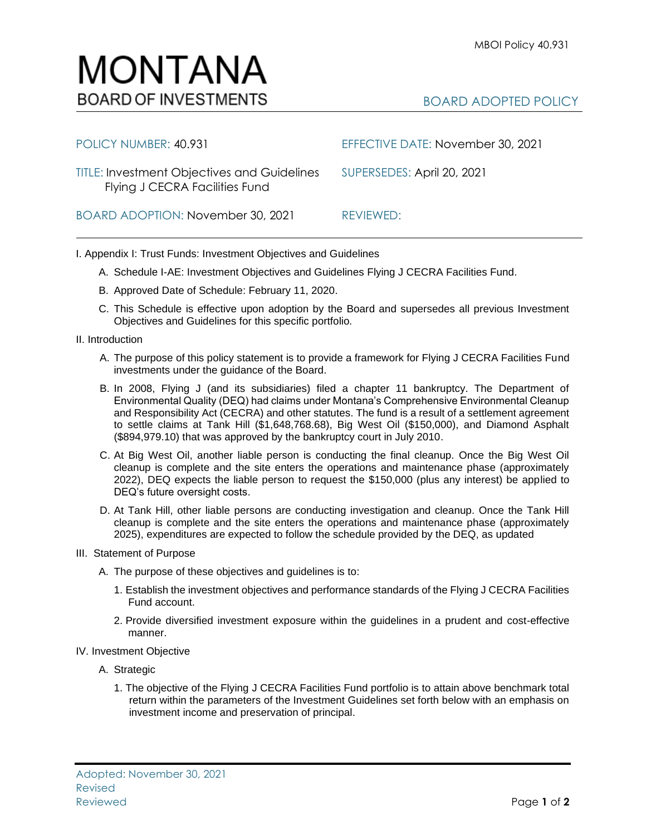

| POLICY NUMBER: 40.931                                                                | EFFECTIVE DATE: November 30, 2021 |
|--------------------------------------------------------------------------------------|-----------------------------------|
| <b>TITLE: Investment Objectives and Guidelines</b><br>Flying J CECRA Facilities Fund | SUPERSEDES: April 20, 2021        |
| BOARD ADOPTION: November 30, 2021                                                    | REVIEWED:                         |

I. Appendix I: Trust Funds: Investment Objectives and Guidelines

- A. Schedule I-AE: Investment Objectives and Guidelines Flying J CECRA Facilities Fund.
- B. Approved Date of Schedule: February 11, 2020.
- C. This Schedule is effective upon adoption by the Board and supersedes all previous Investment Objectives and Guidelines for this specific portfolio*.*
- II. Introduction
	- A. The purpose of this policy statement is to provide a framework for Flying J CECRA Facilities Fund investments under the guidance of the Board.
	- B. In 2008, Flying J (and its subsidiaries) filed a chapter 11 bankruptcy. The Department of Environmental Quality (DEQ) had claims under Montana's Comprehensive Environmental Cleanup and Responsibility Act (CECRA) and other statutes. The fund is a result of a settlement agreement to settle claims at Tank Hill (\$1,648,768.68), Big West Oil (\$150,000), and Diamond Asphalt (\$894,979.10) that was approved by the bankruptcy court in July 2010.
	- C. At Big West Oil, another liable person is conducting the final cleanup. Once the Big West Oil cleanup is complete and the site enters the operations and maintenance phase (approximately 2022), DEQ expects the liable person to request the \$150,000 (plus any interest) be applied to DEQ's future oversight costs.
	- D. At Tank Hill, other liable persons are conducting investigation and cleanup. Once the Tank Hill cleanup is complete and the site enters the operations and maintenance phase (approximately 2025), expenditures are expected to follow the schedule provided by the DEQ, as updated
- III. Statement of Purpose
	- A. The purpose of these objectives and guidelines is to:
		- 1. Establish the investment objectives and performance standards of the Flying J CECRA Facilities Fund account.
		- 2. Provide diversified investment exposure within the guidelines in a prudent and cost-effective manner.
- IV. Investment Objective
	- A. Strategic
		- 1. The objective of the Flying J CECRA Facilities Fund portfolio is to attain above benchmark total return within the parameters of the Investment Guidelines set forth below with an emphasis on investment income and preservation of principal.